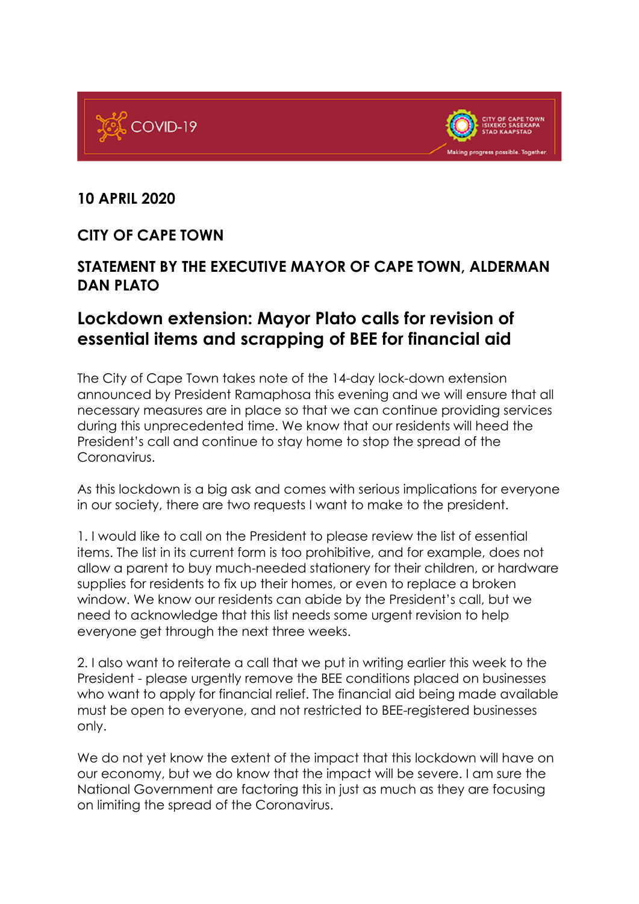



## **10 APRIL 2020**

## **CITY OF CAPE TOWN**

## **STATEMENT BY THE EXECUTIVE MAYOR OF CAPE TOWN, ALDERMAN DAN PLATO**

## **Lockdown extension: Mayor Plato calls for revision of essential items and scrapping of BEE for financial aid**

The City of Cape Town takes note of the 14-day lock-down extension announced by President Ramaphosa this evening and we will ensure that all necessary measures are in place so that we can continue providing services during this unprecedented time. We know that our residents will heed the President's call and continue to stay home to stop the spread of the Coronavirus.

As this lockdown is a big ask and comes with serious implications for everyone in our society, there are two requests I want to make to the president.

1. I would like to call on the President to please review the list of essential items. The list in its current form is too prohibitive, and for example, does not allow a parent to buy much-needed stationery for their children, or hardware supplies for residents to fix up their homes, or even to replace a broken window. We know our residents can abide by the President's call, but we need to acknowledge that this list needs some urgent revision to help everyone get through the next three weeks.

2. I also want to reiterate a call that we put in writing earlier this week to the President - please urgently remove the BEE conditions placed on businesses who want to apply for financial relief. The financial aid being made available must be open to everyone, and not restricted to BEE-registered businesses only.

We do not yet know the extent of the impact that this lockdown will have on our economy, but we do know that the impact will be severe. I am sure the National Government are factoring this in just as much as they are focusing on limiting the spread of the Coronavirus.